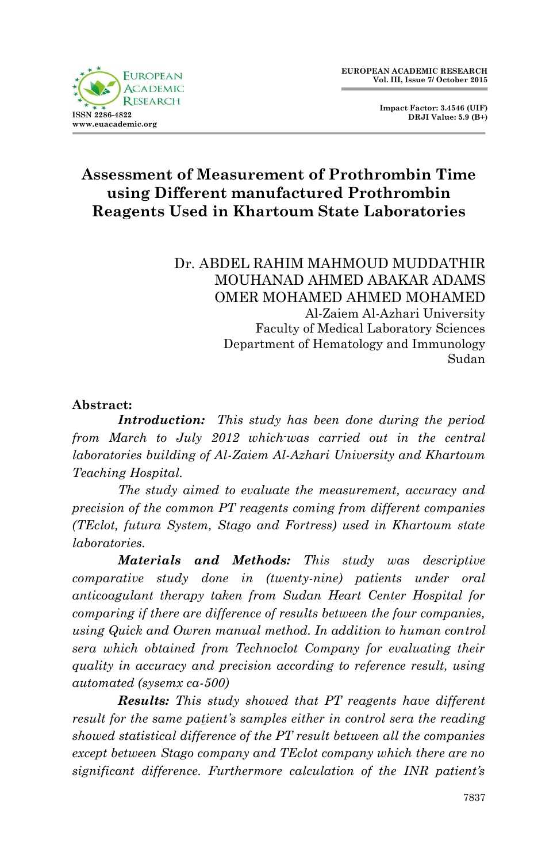

 **Impact Factor: 3.4546 (UIF) DRJI Value: 5.9 (B+)**

# **Assessment of Measurement of Prothrombin Time using Different manufactured Prothrombin Reagents Used in Khartoum State Laboratories**

Dr. ABDEL RAHIM MAHMOUD MUDDATHIR MOUHANAD AHMED ABAKAR ADAMS OMER MOHAMED AHMED MOHAMED Al-Zaiem Al-Azhari University Faculty of Medical Laboratory Sciences Department of Hematology and Immunology Sudan

#### **Abstract:**

*Introduction: This study has been done during the period from March to July 2012 which-was carried out in the central laboratories building of Al-Zaiem Al-Azhari University and Khartoum Teaching Hospital.*

*The study aimed to evaluate the measurement, accuracy and precision of the common PT reagents coming from different companies (TEclot, futura System, Stago and Fortress) used in Khartoum state laboratories.*

*Materials and Methods: This study was descriptive comparative study done in (twenty-nine) patients under oral anticoagulant therapy taken from Sudan Heart Center Hospital for comparing if there are difference of results between the four companies, using Quick and Owren manual method. In addition to human control sera which obtained from Technoclot Company for evaluating their quality in accuracy and precision according to reference result, using automated (sysemx ca-500)*

*Results: This study showed that PT reagents have different result for the same patient's samples either in control sera the reading showed statistical difference of the PT result between all the companies except between Stago company and TEclot company which there are no significant difference. Furthermore calculation of the INR patient's*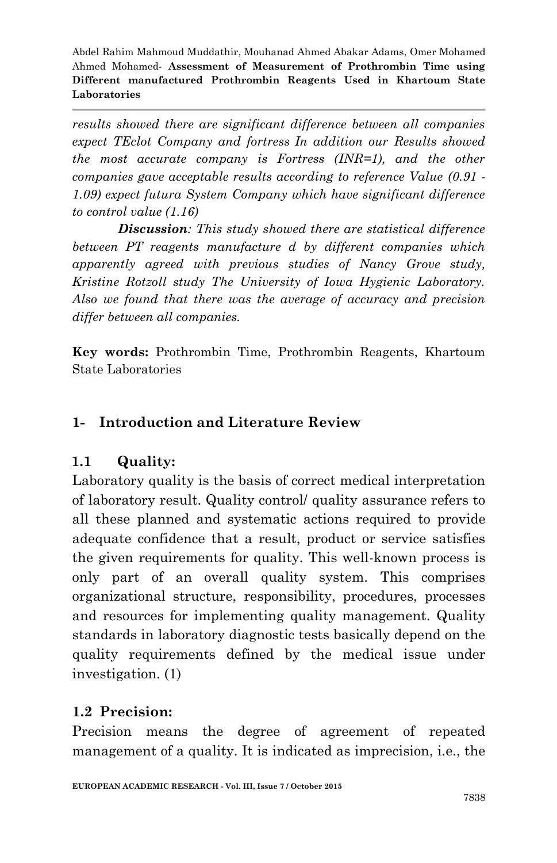*results showed there are significant difference between all companies expect TEclot Company and fortress In addition our Results showed the most accurate company is Fortress (INR=1), and the other companies gave acceptable results according to reference Value (0.91 - 1.09) expect futura System Company which have significant difference to control value (1.16)*

*Discussion: This study showed there are statistical difference between PT reagents manufacture d by different companies which apparently agreed with previous studies of Nancy Grove study, Kristine Rotzoll study The University of Iowa Hygienic Laboratory. Also we found that there was the average of accuracy and precision differ between all companies.*

**Key words:** Prothrombin Time, Prothrombin Reagents, Khartoum State Laboratories

## **1- Introduction and Literature Review**

## **1.1 Quality:**

Laboratory quality is the basis of correct medical interpretation of laboratory result. Quality control/ quality assurance refers to all these planned and systematic actions required to provide adequate confidence that a result, product or service satisfies the given requirements for quality. This well-known process is only part of an overall quality system. This comprises organizational structure, responsibility, procedures, processes and resources for implementing quality management. Quality standards in laboratory diagnostic tests basically depend on the quality requirements defined by the medical issue under investigation. (1)

#### **1.2 Precision:**

Precision means the degree of agreement of repeated management of a quality. It is indicated as imprecision, i.e., the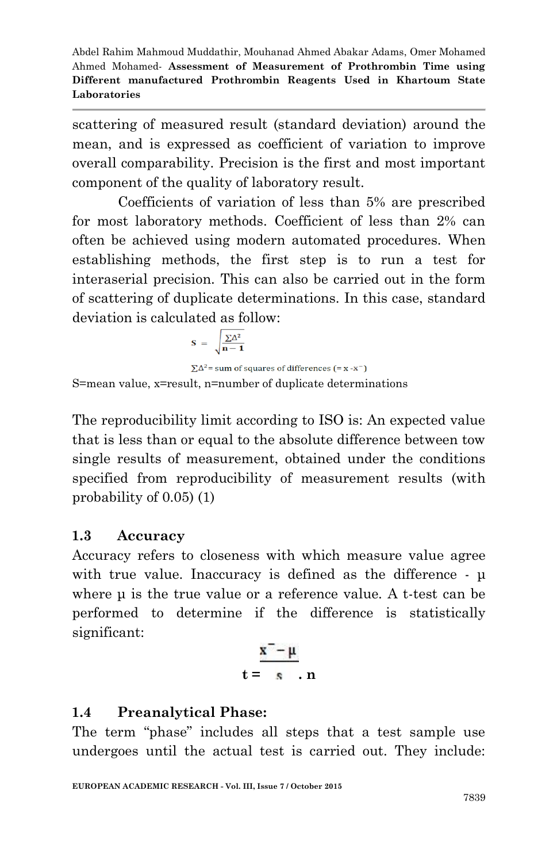scattering of measured result (standard deviation) around the mean, and is expressed as coefficient of variation to improve overall comparability. Precision is the first and most important component of the quality of laboratory result.

Coefficients of variation of less than 5% are prescribed for most laboratory methods. Coefficient of less than 2% can often be achieved using modern automated procedures. When establishing methods, the first step is to run a test for interaserial precision. This can also be carried out in the form of scattering of duplicate determinations. In this case, standard deviation is calculated as follow:

$$
S~=~\sqrt{\frac{\sum \! \Delta^2}{n-1}}
$$

 $\Sigma \Delta^2$  = sum of squares of differences (= x -x<sup>-</sup>) S=mean value, x=result, n=number of duplicate determinations

The reproducibility limit according to ISO is: An expected value that is less than or equal to the absolute difference between tow single results of measurement, obtained under the conditions specified from reproducibility of measurement results (with probability of 0.05) (1)

## **1.3 Accuracy**

Accuracy refers to closeness with which measure value agree with true value. Inaccuracy is defined as the difference - μ where μ is the true value or a reference value. A t-test can be performed to determine if the difference is statistically significant:

$$
\frac{\mathbf{x}^{\top} - \mu}{\mathbf{t} = \mathbf{s} \mathbf{n}}
$$

# **1.4 Preanalytical Phase:**

The term "phase" includes all steps that a test sample use undergoes until the actual test is carried out. They include: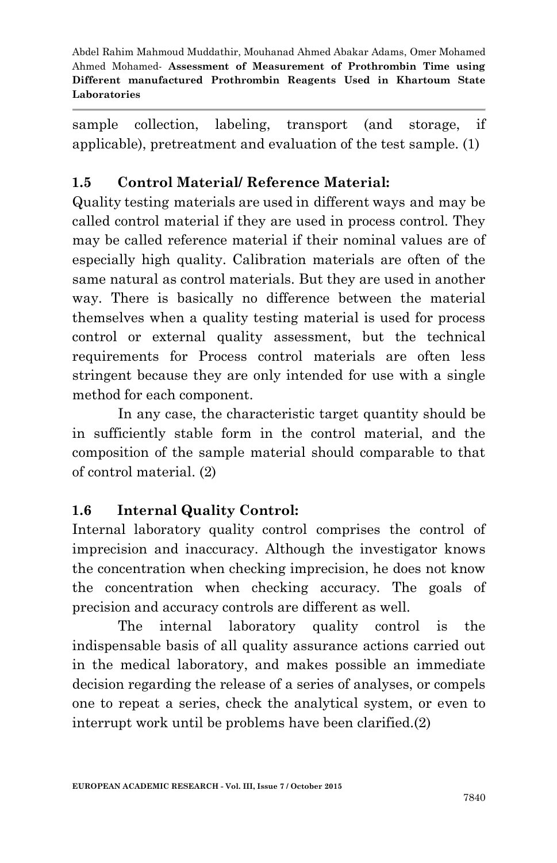sample collection, labeling, transport (and storage, if applicable), pretreatment and evaluation of the test sample. (1)

# **1.5 Control Material/ Reference Material:**

Quality testing materials are used in different ways and may be called control material if they are used in process control. They may be called reference material if their nominal values are of especially high quality. Calibration materials are often of the same natural as control materials. But they are used in another way. There is basically no difference between the material themselves when a quality testing material is used for process control or external quality assessment, but the technical requirements for Process control materials are often less stringent because they are only intended for use with a single method for each component.

In any case, the characteristic target quantity should be in sufficiently stable form in the control material, and the composition of the sample material should comparable to that of control material. (2)

## **1.6 Internal Quality Control:**

Internal laboratory quality control comprises the control of imprecision and inaccuracy. Although the investigator knows the concentration when checking imprecision, he does not know the concentration when checking accuracy. The goals of precision and accuracy controls are different as well.

The internal laboratory quality control is the indispensable basis of all quality assurance actions carried out in the medical laboratory, and makes possible an immediate decision regarding the release of a series of analyses, or compels one to repeat a series, check the analytical system, or even to interrupt work until be problems have been clarified.(2)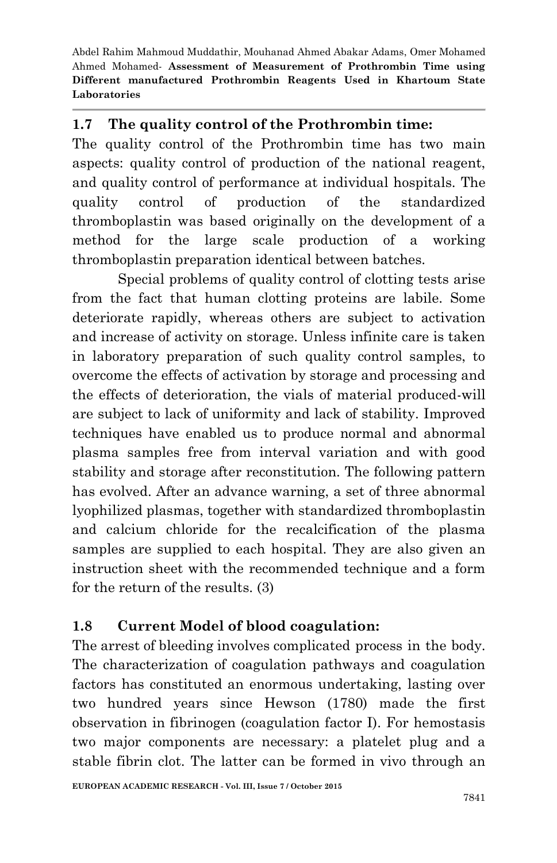#### **1.7 The quality control of the Prothrombin time:**

The quality control of the Prothrombin time has two main aspects: quality control of production of the national reagent, and quality control of performance at individual hospitals. The quality control of production of the standardized thromboplastin was based originally on the development of a method for the large scale production of a working thromboplastin preparation identical between batches.

Special problems of quality control of clotting tests arise from the fact that human clotting proteins are labile. Some deteriorate rapidly, whereas others are subject to activation and increase of activity on storage. Unless infinite care is taken in laboratory preparation of such quality control samples, to overcome the effects of activation by storage and processing and the effects of deterioration, the vials of material produced-will are subject to lack of uniformity and lack of stability. Improved techniques have enabled us to produce normal and abnormal plasma samples free from interval variation and with good stability and storage after reconstitution. The following pattern has evolved. After an advance warning, a set of three abnormal lyophilized plasmas, together with standardized thromboplastin and calcium chloride for the recalcification of the plasma samples are supplied to each hospital. They are also given an instruction sheet with the recommended technique and a form for the return of the results. (3)

# **1.8 Current Model of blood coagulation:**

The arrest of bleeding involves complicated process in the body. The characterization of coagulation pathways and coagulation factors has constituted an enormous undertaking, lasting over two hundred years since Hewson (1780) made the first observation in fibrinogen (coagulation factor I). For hemostasis two major components are necessary: a platelet plug and a stable fibrin clot. The latter can be formed in vivo through an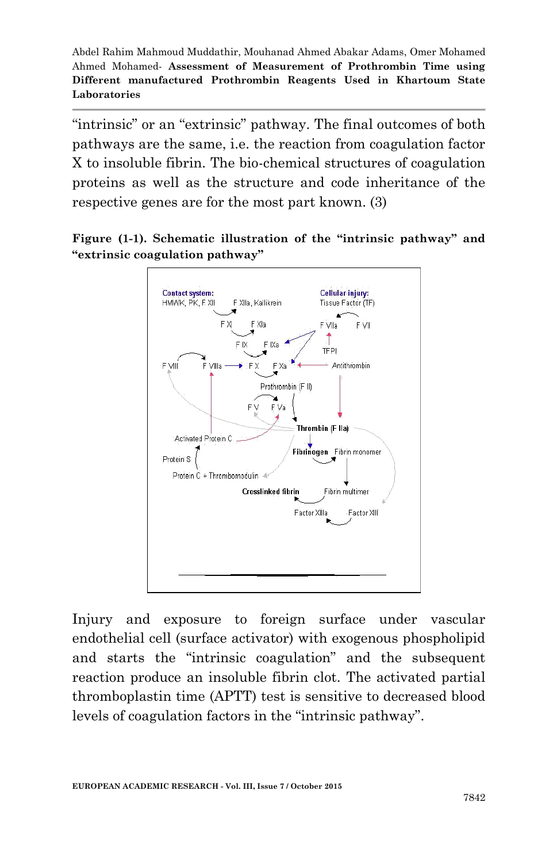"intrinsic" or an "extrinsic" pathway. The final outcomes of both pathways are the same, i.e. the reaction from coagulation factor X to insoluble fibrin. The bio-chemical structures of coagulation proteins as well as the structure and code inheritance of the respective genes are for the most part known. (3)

**Figure (1-1). Schematic illustration of the "intrinsic pathway" and "extrinsic coagulation pathway"**



Injury and exposure to foreign surface under vascular endothelial cell (surface activator) with exogenous phospholipid and starts the "intrinsic coagulation" and the subsequent reaction produce an insoluble fibrin clot. The activated partial thromboplastin time (APTT) test is sensitive to decreased blood levels of coagulation factors in the "intrinsic pathway".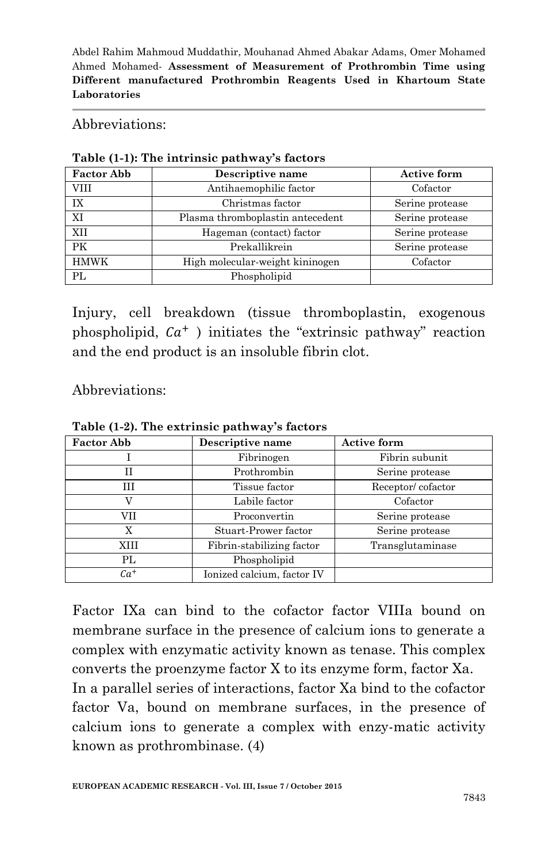#### Abbreviations:

| <b>Factor Abb</b> | Descriptive name                 | <b>Active form</b> |
|-------------------|----------------------------------|--------------------|
| VIII              | Antihaemophilic factor           | Cofactor           |
| IX                | Christmas factor                 | Serine protease    |
| XI                | Plasma thromboplastin antecedent | Serine protease    |
| XII               | Hageman (contact) factor         | Serine protease    |
| PK                | Prekallikrein                    | Serine protease    |
| <b>HMWK</b>       | High molecular-weight kininogen  | Cofactor           |
| PL                | Phospholipid                     |                    |

#### **Table (1-1): The intrinsic pathway's factors**

Injury, cell breakdown (tissue thromboplastin, exogenous phospholipid,  $Ca^+$ ) initiates the "extrinsic pathway" reaction and the end product is an insoluble fibrin clot.

Abbreviations:

| <b>Factor Abb</b> | Descriptive name           | <b>Active form</b> |
|-------------------|----------------------------|--------------------|
|                   | Fibrinogen                 | Fibrin subunit     |
| Н                 | Prothrombin                | Serine protease    |
| ĦТ                | Tissue factor              | Receptor/cofactor  |
|                   | Labile factor              | Cofactor           |
| VII               | Proconvertin               | Serine protease    |
| X                 | Stuart-Prower factor       | Serine protease    |
| XIII              | Fibrin-stabilizing factor  | Transglutaminase   |
| PL                | Phospholipid               |                    |
| Ca <sup>+</sup>   | Ionized calcium, factor IV |                    |

**Table (1-2). The extrinsic pathway's factors**

Factor IXa can bind to the cofactor factor VIIIa bound on membrane surface in the presence of calcium ions to generate a complex with enzymatic activity known as tenase. This complex converts the proenzyme factor X to its enzyme form, factor Xa. In a parallel series of interactions, factor Xa bind to the cofactor factor Va, bound on membrane surfaces, in the presence of calcium ions to generate a complex with enzy-matic activity known as prothrombinase. (4)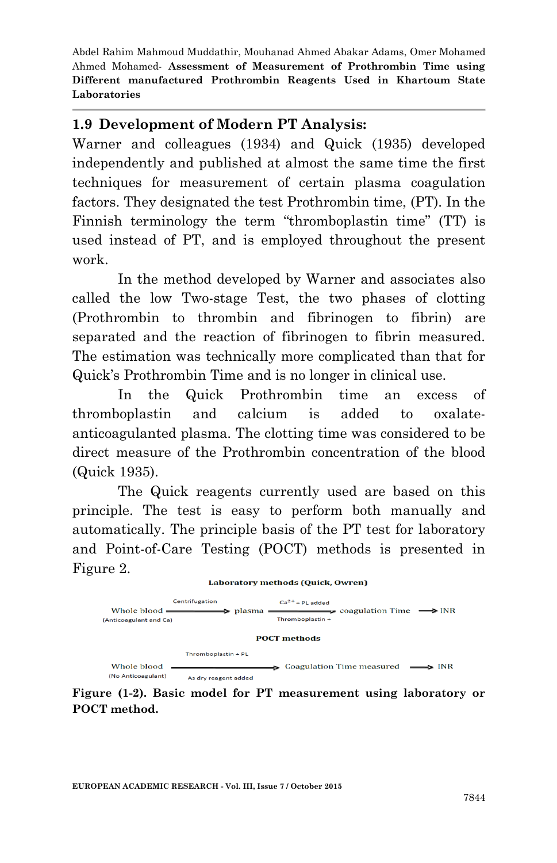#### **1.9 Development of Modern PT Analysis:**

Warner and colleagues (1934) and Quick (1935) developed independently and published at almost the same time the first techniques for measurement of certain plasma coagulation factors. They designated the test Prothrombin time, (PT). In the Finnish terminology the term "thromboplastin time" (TT) is used instead of PT, and is employed throughout the present work.

In the method developed by Warner and associates also called the low Two-stage Test, the two phases of clotting (Prothrombin to thrombin and fibrinogen to fibrin) are separated and the reaction of fibrinogen to fibrin measured. The estimation was technically more complicated than that for Quick's Prothrombin Time and is no longer in clinical use.

In the Quick Prothrombin time an excess of thromboplastin and calcium is added to oxalateanticoagulanted plasma. The clotting time was considered to be direct measure of the Prothrombin concentration of the blood (Quick 1935).

The Quick reagents currently used are based on this principle. The test is easy to perform both manually and automatically. The principle basis of the PT test for laboratory and Point-of-Care Testing (POCT) methods is presented in Figure 2.



**Figure (1-2). Basic model for PT measurement using laboratory or POCT method.**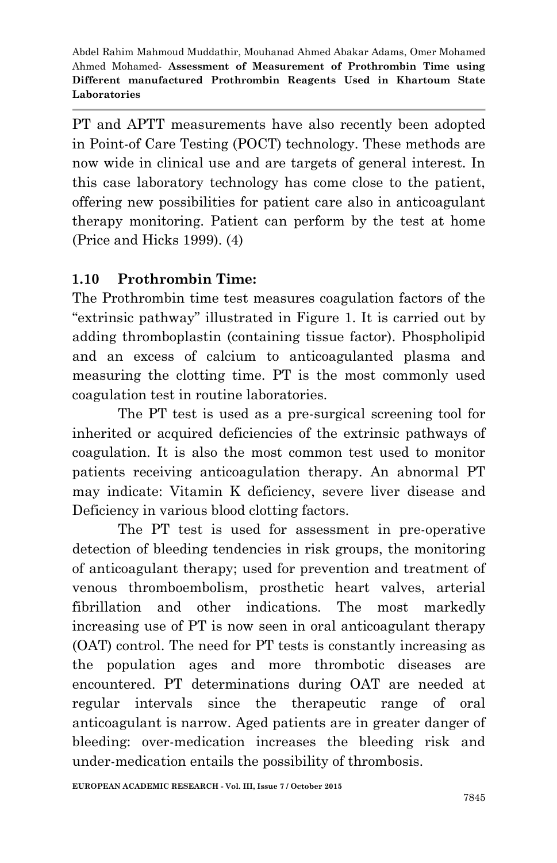PT and APTT measurements have also recently been adopted in Point-of Care Testing (POCT) technology. These methods are now wide in clinical use and are targets of general interest. In this case laboratory technology has come close to the patient, offering new possibilities for patient care also in anticoagulant therapy monitoring. Patient can perform by the test at home (Price and Hicks 1999). (4)

## **1.10 Prothrombin Time:**

The Prothrombin time test measures coagulation factors of the "extrinsic pathway" illustrated in Figure 1. It is carried out by adding thromboplastin (containing tissue factor). Phospholipid and an excess of calcium to anticoagulanted plasma and measuring the clotting time. PT is the most commonly used coagulation test in routine laboratories.

The PT test is used as a pre-surgical screening tool for inherited or acquired deficiencies of the extrinsic pathways of coagulation. It is also the most common test used to monitor patients receiving anticoagulation therapy. An abnormal PT may indicate: Vitamin K deficiency, severe liver disease and Deficiency in various blood clotting factors.

The PT test is used for assessment in pre-operative detection of bleeding tendencies in risk groups, the monitoring of anticoagulant therapy; used for prevention and treatment of venous thromboembolism, prosthetic heart valves, arterial fibrillation and other indications. The most markedly increasing use of PT is now seen in oral anticoagulant therapy (OAT) control. The need for PT tests is constantly increasing as the population ages and more thrombotic diseases are encountered. PT determinations during OAT are needed at regular intervals since the therapeutic range of oral anticoagulant is narrow. Aged patients are in greater danger of bleeding: over-medication increases the bleeding risk and under-medication entails the possibility of thrombosis.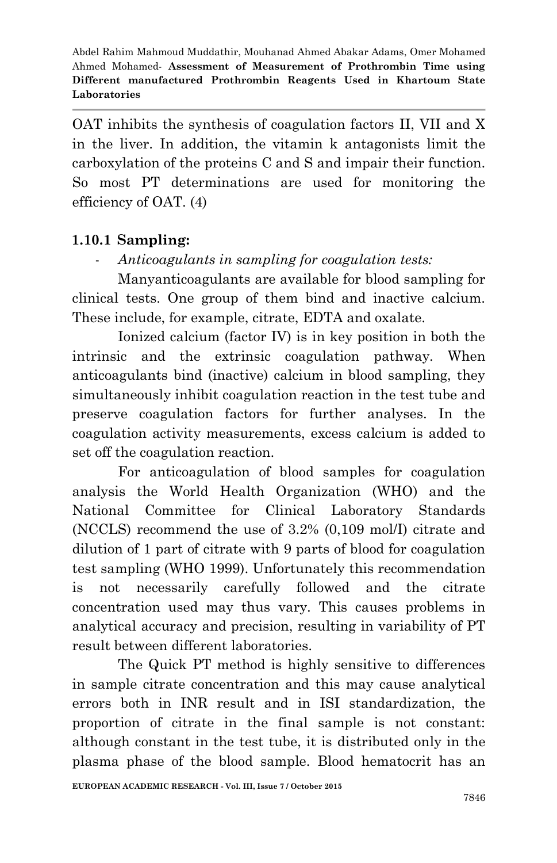OAT inhibits the synthesis of coagulation factors II, VII and X in the liver. In addition, the vitamin k antagonists limit the carboxylation of the proteins C and S and impair their function. So most PT determinations are used for monitoring the efficiency of OAT. (4)

# **1.10.1 Sampling:**

- *Anticoagulants in sampling for coagulation tests:*

Manyanticoagulants are available for blood sampling for clinical tests. One group of them bind and inactive calcium. These include, for example, citrate, EDTA and oxalate.

Ionized calcium (factor IV) is in key position in both the intrinsic and the extrinsic coagulation pathway. When anticoagulants bind (inactive) calcium in blood sampling, they simultaneously inhibit coagulation reaction in the test tube and preserve coagulation factors for further analyses. In the coagulation activity measurements, excess calcium is added to set off the coagulation reaction.

For anticoagulation of blood samples for coagulation analysis the World Health Organization (WHO) and the National Committee for Clinical Laboratory Standards (NCCLS) recommend the use of 3.2% (0,109 mol/I) citrate and dilution of 1 part of citrate with 9 parts of blood for coagulation test sampling (WHO 1999). Unfortunately this recommendation is not necessarily carefully followed and the citrate concentration used may thus vary. This causes problems in analytical accuracy and precision, resulting in variability of PT result between different laboratories.

The Quick PT method is highly sensitive to differences in sample citrate concentration and this may cause analytical errors both in INR result and in ISI standardization, the proportion of citrate in the final sample is not constant: although constant in the test tube, it is distributed only in the plasma phase of the blood sample. Blood hematocrit has an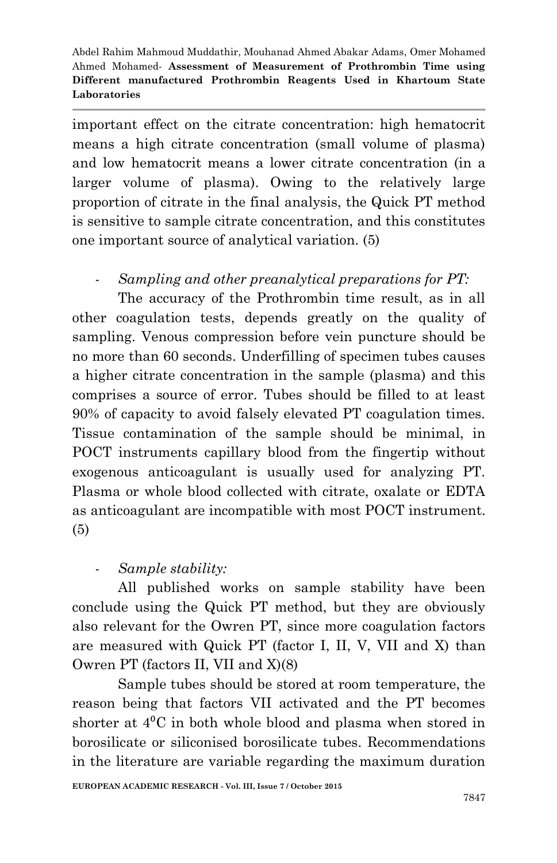important effect on the citrate concentration: high hematocrit means a high citrate concentration (small volume of plasma) and low hematocrit means a lower citrate concentration (in a larger volume of plasma). Owing to the relatively large proportion of citrate in the final analysis, the Quick PT method is sensitive to sample citrate concentration, and this constitutes one important source of analytical variation. (5)

## - *Sampling and other preanalytical preparations for PT:*

The accuracy of the Prothrombin time result, as in all other coagulation tests, depends greatly on the quality of sampling. Venous compression before vein puncture should be no more than 60 seconds. Underfilling of specimen tubes causes a higher citrate concentration in the sample (plasma) and this comprises a source of error. Tubes should be filled to at least 90% of capacity to avoid falsely elevated PT coagulation times. Tissue contamination of the sample should be minimal, in POCT instruments capillary blood from the fingertip without exogenous anticoagulant is usually used for analyzing PT. Plasma or whole blood collected with citrate, oxalate or EDTA as anticoagulant are incompatible with most POCT instrument. (5)

## - *Sample stability:*

All published works on sample stability have been conclude using the Quick PT method, but they are obviously also relevant for the Owren PT, since more coagulation factors are measured with Quick PT (factor I, II, V, VII and X) than Owren PT (factors II, VII and X)(8)

Sample tubes should be stored at room temperature, the reason being that factors VII activated and the PT becomes shorter at  $4^{\circ}$ C in both whole blood and plasma when stored in borosilicate or siliconised borosilicate tubes. Recommendations in the literature are variable regarding the maximum duration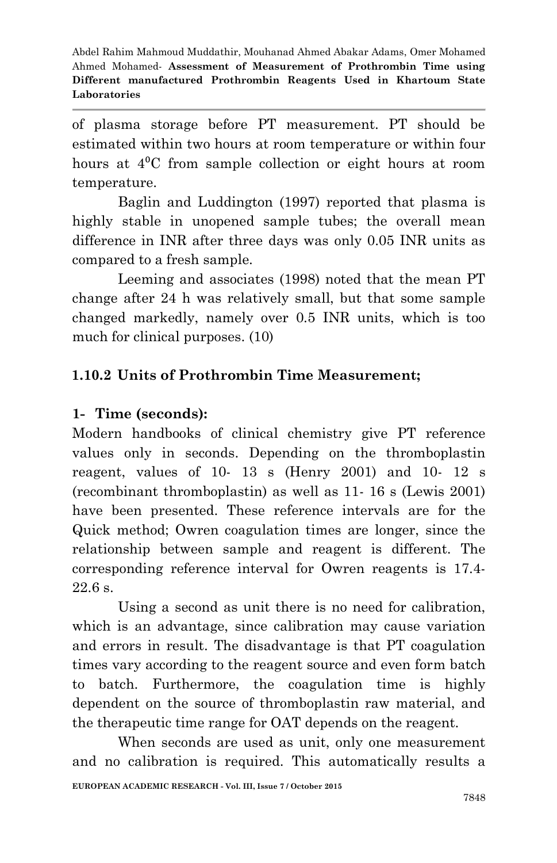of plasma storage before PT measurement. PT should be estimated within two hours at room temperature or within four hours at  $4^{\circ}$ C from sample collection or eight hours at room temperature.

Baglin and Luddington (1997) reported that plasma is highly stable in unopened sample tubes; the overall mean difference in INR after three days was only 0.05 INR units as compared to a fresh sample.

Leeming and associates (1998) noted that the mean PT change after 24 h was relatively small, but that some sample changed markedly, namely over 0.5 INR units, which is too much for clinical purposes. (10)

## **1.10.2 Units of Prothrombin Time Measurement;**

#### **1- Time (seconds):**

Modern handbooks of clinical chemistry give PT reference values only in seconds. Depending on the thromboplastin reagent, values of 10- 13 s (Henry 2001) and 10- 12 s (recombinant thromboplastin) as well as 11- 16 s (Lewis 2001) have been presented. These reference intervals are for the Quick method; Owren coagulation times are longer, since the relationship between sample and reagent is different. The corresponding reference interval for Owren reagents is 17.4- 22.6 s.

Using a second as unit there is no need for calibration, which is an advantage, since calibration may cause variation and errors in result. The disadvantage is that PT coagulation times vary according to the reagent source and even form batch to batch. Furthermore, the coagulation time is highly dependent on the source of thromboplastin raw material, and the therapeutic time range for OAT depends on the reagent.

When seconds are used as unit, only one measurement and no calibration is required. This automatically results a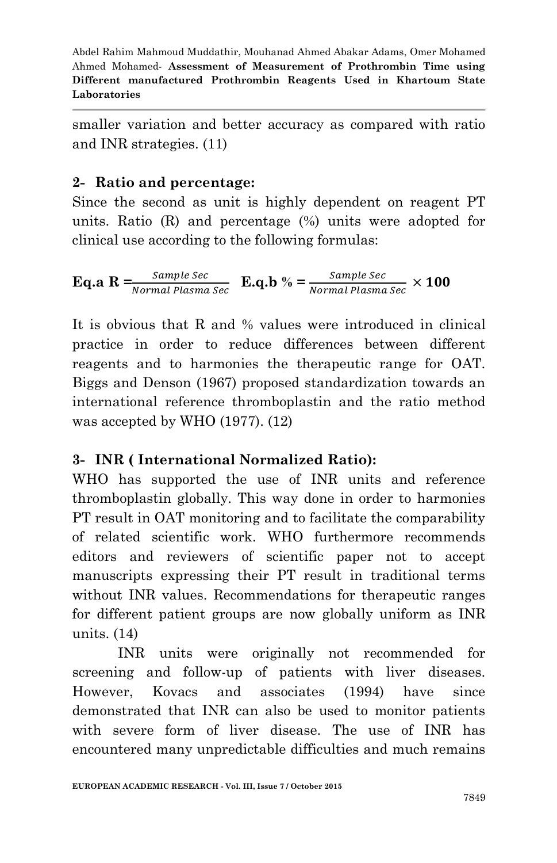smaller variation and better accuracy as compared with ratio and INR strategies. (11)

#### **2- Ratio and percentage:**

Since the second as unit is highly dependent on reagent PT units. Ratio (R) and percentage (%) units were adopted for clinical use according to the following formulas:

**Eq.a**  $R = \frac{Sample \, Sec}{Normal \, Plasma \, Sec}$  **E.q.b**  $\% = \frac{Sample \, Sec}{Normal \, Plasma \, Sec}$  ×

It is obvious that R and % values were introduced in clinical practice in order to reduce differences between different reagents and to harmonies the therapeutic range for OAT. Biggs and Denson (1967) proposed standardization towards an international reference thromboplastin and the ratio method was accepted by WHO (1977). (12)

## **3- INR ( International Normalized Ratio):**

WHO has supported the use of INR units and reference thromboplastin globally. This way done in order to harmonies PT result in OAT monitoring and to facilitate the comparability of related scientific work. WHO furthermore recommends editors and reviewers of scientific paper not to accept manuscripts expressing their PT result in traditional terms without INR values. Recommendations for therapeutic ranges for different patient groups are now globally uniform as INR units. (14)

INR units were originally not recommended for screening and follow-up of patients with liver diseases. However, Kovacs and associates (1994) have since demonstrated that INR can also be used to monitor patients with severe form of liver disease. The use of INR has encountered many unpredictable difficulties and much remains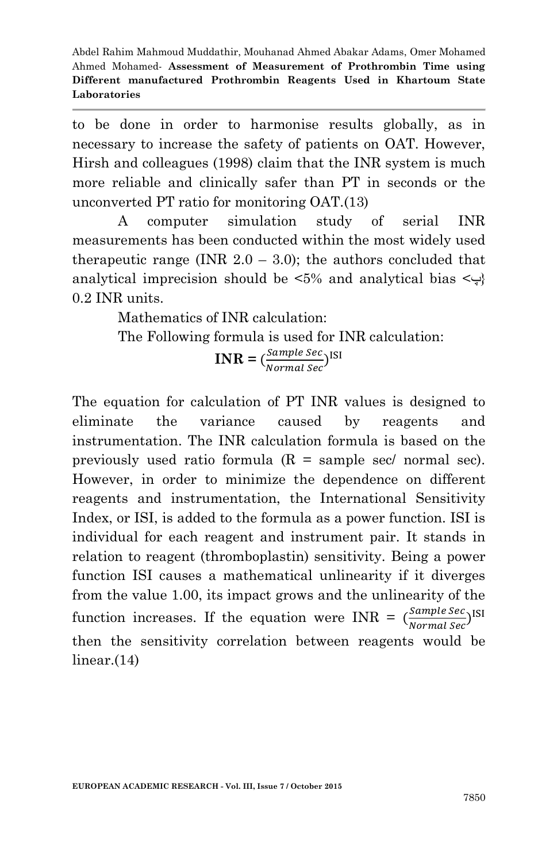to be done in order to harmonise results globally, as in necessary to increase the safety of patients on OAT. However, Hirsh and colleagues (1998) claim that the INR system is much more reliable and clinically safer than PT in seconds or the unconverted PT ratio for monitoring OAT.(13)

A computer simulation study of serial INR measurements has been conducted within the most widely used therapeutic range (INR  $2.0 - 3.0$ ); the authors concluded that analytical imprecision should be  $\langle 5\%$  and analytical bias  $\langle \downarrow \rangle$ 0.2 INR units.

Mathematics of INR calculation:

The Following formula is used for INR calculation:

 $$ Sample sec<sub>)</sub>I<br>Normal Sec<sup>)</sup>

The equation for calculation of PT INR values is designed to eliminate the variance caused by reagents and instrumentation. The INR calculation formula is based on the previously used ratio formula  $(R = sample sec / normal sec)$ . However, in order to minimize the dependence on different reagents and instrumentation, the International Sensitivity Index, or ISI, is added to the formula as a power function. ISI is individual for each reagent and instrument pair. It stands in relation to reagent (thromboplastin) sensitivity. Being a power function ISI causes a mathematical unlinearity if it diverges from the value 1.00, its impact grows and the unlinearity of the function increases. If the equation were INR =  $\left(\frac{S}{I}\right)$ Sample Sec<sub>)</sub>ISI<br>Normal Sec<sup>)</sup> then the sensitivity correlation between reagents would be linear.(14)

**EUROPEAN ACADEMIC RESEARCH - Vol. III, Issue 7 / October 2015**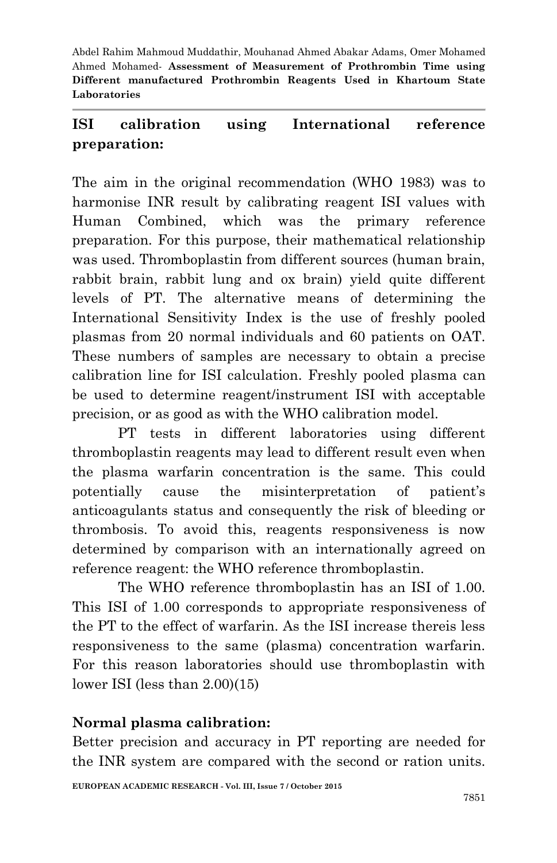# **ISI calibration using International reference preparation:**

The aim in the original recommendation (WHO 1983) was to harmonise INR result by calibrating reagent ISI values with Human Combined, which was the primary reference preparation. For this purpose, their mathematical relationship was used. Thromboplastin from different sources (human brain, rabbit brain, rabbit lung and ox brain) yield quite different levels of PT. The alternative means of determining the International Sensitivity Index is the use of freshly pooled plasmas from 20 normal individuals and 60 patients on OAT. These numbers of samples are necessary to obtain a precise calibration line for ISI calculation. Freshly pooled plasma can be used to determine reagent/instrument ISI with acceptable precision, or as good as with the WHO calibration model.

PT tests in different laboratories using different thromboplastin reagents may lead to different result even when the plasma warfarin concentration is the same. This could potentially cause the misinterpretation of patient's anticoagulants status and consequently the risk of bleeding or thrombosis. To avoid this, reagents responsiveness is now determined by comparison with an internationally agreed on reference reagent: the WHO reference thromboplastin.

The WHO reference thromboplastin has an ISI of 1.00. This ISI of 1.00 corresponds to appropriate responsiveness of the PT to the effect of warfarin. As the ISI increase thereis less responsiveness to the same (plasma) concentration warfarin. For this reason laboratories should use thromboplastin with lower ISI (less than 2.00)(15)

#### **Normal plasma calibration:**

Better precision and accuracy in PT reporting are needed for the INR system are compared with the second or ration units.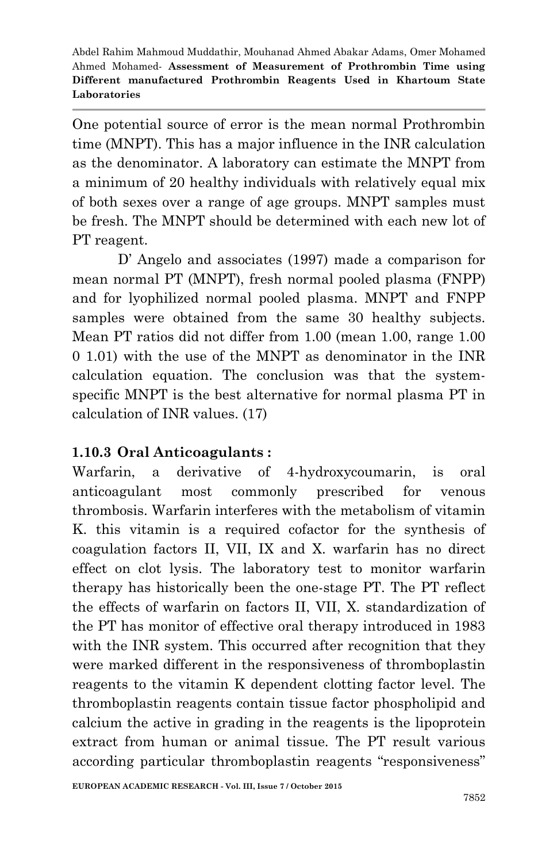One potential source of error is the mean normal Prothrombin time (MNPT). This has a major influence in the INR calculation as the denominator. A laboratory can estimate the MNPT from a minimum of 20 healthy individuals with relatively equal mix of both sexes over a range of age groups. MNPT samples must be fresh. The MNPT should be determined with each new lot of PT reagent.

D' Angelo and associates (1997) made a comparison for mean normal PT (MNPT), fresh normal pooled plasma (FNPP) and for lyophilized normal pooled plasma. MNPT and FNPP samples were obtained from the same 30 healthy subjects. Mean PT ratios did not differ from 1.00 (mean 1.00, range 1.00 0 1.01) with the use of the MNPT as denominator in the INR calculation equation. The conclusion was that the systemspecific MNPT is the best alternative for normal plasma PT in calculation of INR values. (17)

## **1.10.3 Oral Anticoagulants :**

Warfarin, a derivative of 4-hydroxycoumarin, is oral anticoagulant most commonly prescribed for venous thrombosis. Warfarin interferes with the metabolism of vitamin K. this vitamin is a required cofactor for the synthesis of coagulation factors II, VII, IX and X. warfarin has no direct effect on clot lysis. The laboratory test to monitor warfarin therapy has historically been the one-stage PT. The PT reflect the effects of warfarin on factors II, VII, X. standardization of the PT has monitor of effective oral therapy introduced in 1983 with the INR system. This occurred after recognition that they were marked different in the responsiveness of thromboplastin reagents to the vitamin K dependent clotting factor level. The thromboplastin reagents contain tissue factor phospholipid and calcium the active in grading in the reagents is the lipoprotein extract from human or animal tissue. The PT result various according particular thromboplastin reagents "responsiveness"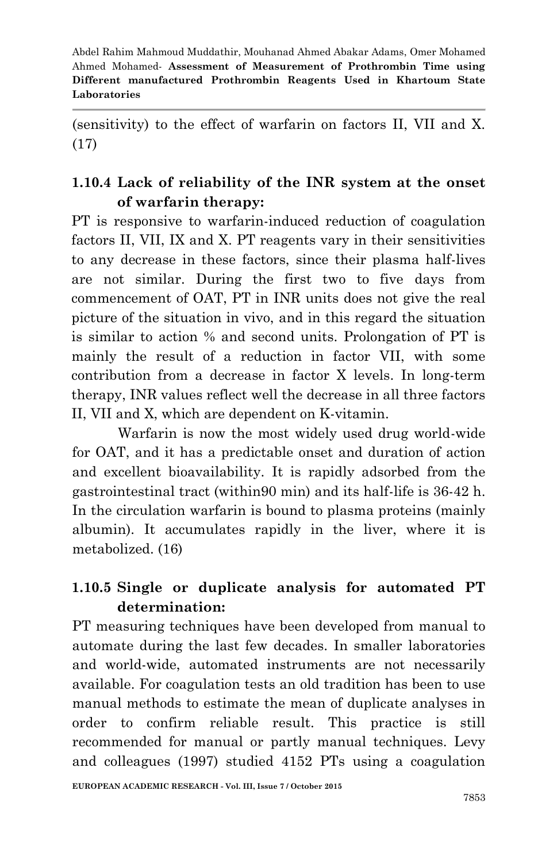(sensitivity) to the effect of warfarin on factors II, VII and X. (17)

# **1.10.4 Lack of reliability of the INR system at the onset of warfarin therapy:**

PT is responsive to warfarin-induced reduction of coagulation factors II, VII, IX and X. PT reagents vary in their sensitivities to any decrease in these factors, since their plasma half-lives are not similar. During the first two to five days from commencement of OAT, PT in INR units does not give the real picture of the situation in vivo, and in this regard the situation is similar to action % and second units. Prolongation of PT is mainly the result of a reduction in factor VII, with some contribution from a decrease in factor X levels. In long-term therapy, INR values reflect well the decrease in all three factors II, VII and X, which are dependent on K-vitamin.

Warfarin is now the most widely used drug world-wide for OAT, and it has a predictable onset and duration of action and excellent bioavailability. It is rapidly adsorbed from the gastrointestinal tract (within90 min) and its half-life is 36-42 h. In the circulation warfarin is bound to plasma proteins (mainly albumin). It accumulates rapidly in the liver, where it is metabolized. (16)

# **1.10.5 Single or duplicate analysis for automated PT determination:**

PT measuring techniques have been developed from manual to automate during the last few decades. In smaller laboratories and world-wide, automated instruments are not necessarily available. For coagulation tests an old tradition has been to use manual methods to estimate the mean of duplicate analyses in order to confirm reliable result. This practice is still recommended for manual or partly manual techniques. Levy and colleagues (1997) studied 4152 PTs using a coagulation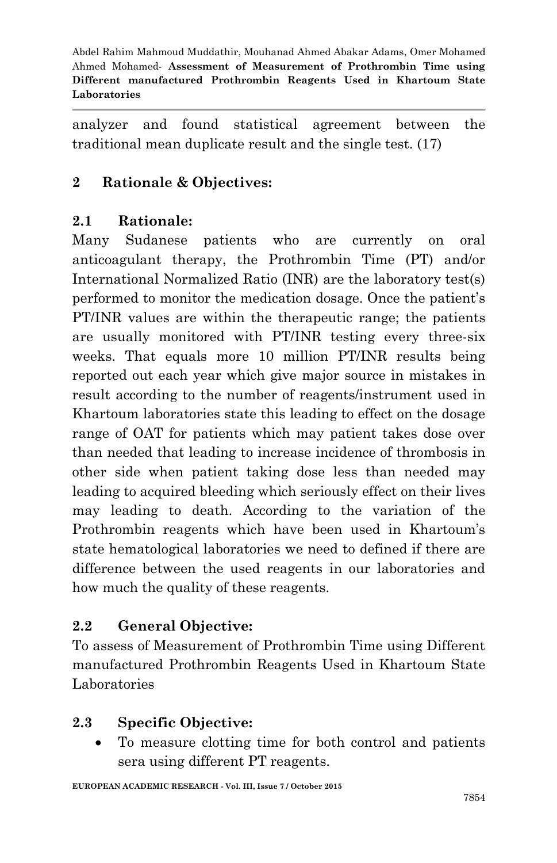analyzer and found statistical agreement between the traditional mean duplicate result and the single test. (17)

## **2 Rationale & Objectives:**

## **2.1 Rationale:**

Many Sudanese patients who are currently on oral anticoagulant therapy, the Prothrombin Time (PT) and/or International Normalized Ratio (INR) are the laboratory test(s) performed to monitor the medication dosage. Once the patient's PT/INR values are within the therapeutic range; the patients are usually monitored with PT/INR testing every three-six weeks. That equals more 10 million PT/INR results being reported out each year which give major source in mistakes in result according to the number of reagents/instrument used in Khartoum laboratories state this leading to effect on the dosage range of OAT for patients which may patient takes dose over than needed that leading to increase incidence of thrombosis in other side when patient taking dose less than needed may leading to acquired bleeding which seriously effect on their lives may leading to death. According to the variation of the Prothrombin reagents which have been used in Khartoum's state hematological laboratories we need to defined if there are difference between the used reagents in our laboratories and how much the quality of these reagents.

## **2.2 General Objective:**

To assess of Measurement of Prothrombin Time using Different manufactured Prothrombin Reagents Used in Khartoum State Laboratories

## **2.3 Specific Objective:**

 To measure clotting time for both control and patients sera using different PT reagents.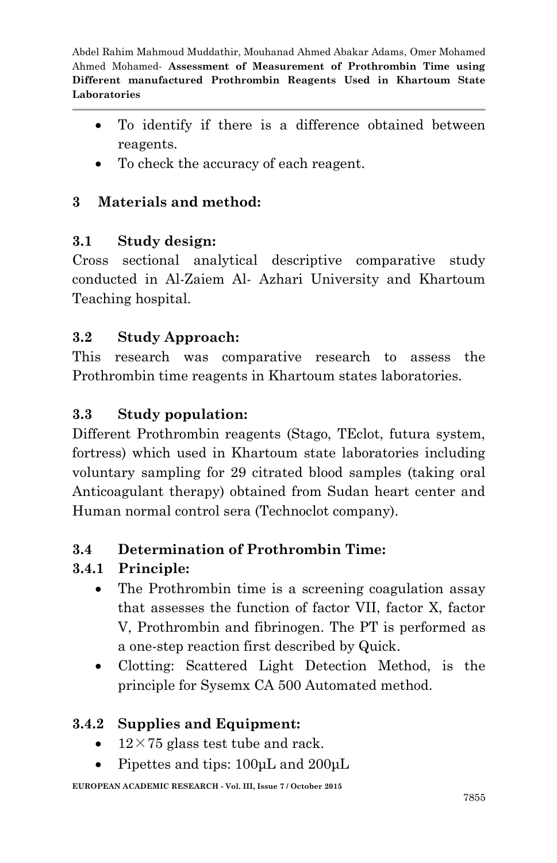- To identify if there is a difference obtained between reagents.
- To check the accuracy of each reagent.

# **3 Materials and method:**

## **3.1 Study design:**

Cross sectional analytical descriptive comparative study conducted in Al-Zaiem Al- Azhari University and Khartoum Teaching hospital.

## **3.2 Study Approach:**

This research was comparative research to assess the Prothrombin time reagents in Khartoum states laboratories.

## **3.3 Study population:**

Different Prothrombin reagents (Stago, TEclot, futura system, fortress) which used in Khartoum state laboratories including voluntary sampling for 29 citrated blood samples (taking oral Anticoagulant therapy) obtained from Sudan heart center and Human normal control sera (Technoclot company).

## **3.4 Determination of Prothrombin Time:**

# **3.4.1 Principle:**

- The Prothrombin time is a screening coagulation assay that assesses the function of factor VII, factor X, factor V, Prothrombin and fibrinogen. The PT is performed as a one-step reaction first described by Quick.
- Clotting: Scattered Light Detection Method, is the principle for Sysemx CA 500 Automated method.

## **3.4.2 Supplies and Equipment:**

- $12 \times 75$  glass test tube and rack.
- Pipettes and tips:  $100 \mu L$  and  $200 \mu L$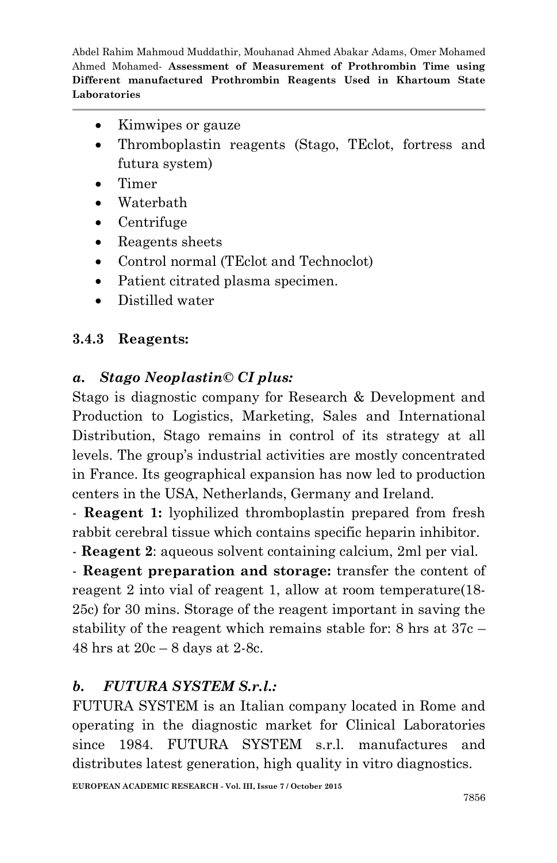- Kimwipes or gauze
- Thromboplastin reagents (Stago, TEclot, fortress and futura system)
- Timer
- Waterbath
- Centrifuge
- Reagents sheets
- Control normal (TEclot and Technoclot)
- Patient citrated plasma specimen.
- Distilled water

## **3.4.3 Reagents:**

# *a. Stago Neoplastin© CI plus:*

Stago is diagnostic company for Research & Development and Production to Logistics, Marketing, Sales and International Distribution, Stago remains in control of its strategy at all levels. The group's industrial activities are mostly concentrated in France. Its geographical expansion has now led to production centers in the USA, Netherlands, Germany and Ireland.

- **Reagent 1:** lyophilized thromboplastin prepared from fresh rabbit cerebral tissue which contains specific heparin inhibitor.

- **Reagent 2**: aqueous solvent containing calcium, 2ml per vial.

- **Reagent preparation and storage:** transfer the content of reagent 2 into vial of reagent 1, allow at room temperature(18- 25c) for 30 mins. Storage of the reagent important in saving the stability of the reagent which remains stable for: 8 hrs at 37c – 48 hrs at 20c – 8 days at 2-8c.

# *b. FUTURA SYSTEM S.r.l.:*

FUTURA SYSTEM is an Italian company located in Rome and operating in the diagnostic market for Clinical Laboratories since 1984. FUTURA SYSTEM s.r.l. manufactures and distributes latest generation, high quality in vitro diagnostics.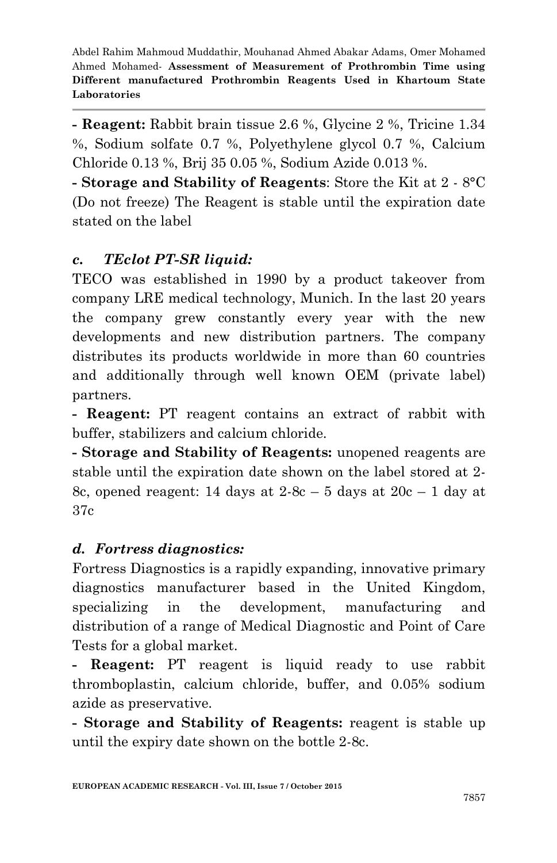**- Reagent:** Rabbit brain tissue 2.6 %, Glycine 2 %, Tricine 1.34 %, Sodium solfate 0.7 %, Polyethylene glycol 0.7 %, Calcium Chloride 0.13 %, Brij 35 0.05 %, Sodium Azide 0.013 %.

**- Storage and Stability of Reagents**: Store the Kit at 2 - 8°C (Do not freeze) The Reagent is stable until the expiration date stated on the label

## *c. TEclot PT-SR liquid:*

TECO was established in 1990 by a product takeover from company LRE medical technology, Munich. In the last 20 years the company grew constantly every year with the new developments and new distribution partners. The company distributes its products worldwide in more than 60 countries and additionally through well known OEM (private label) partners.

**- Reagent:** PT reagent contains an extract of rabbit with buffer, stabilizers and calcium chloride.

**- Storage and Stability of Reagents:** unopened reagents are stable until the expiration date shown on the label stored at 2- 8c, opened reagent: 14 days at  $2-8c - 5$  days at  $20c - 1$  day at 37c

## *d. Fortress diagnostics:*

Fortress Diagnostics is a rapidly expanding, innovative primary diagnostics manufacturer based in the United Kingdom, specializing in the development, manufacturing and distribution of a range of Medical Diagnostic and Point of Care Tests for a global market.

**- Reagent:** PT reagent is liquid ready to use rabbit thromboplastin, calcium chloride, buffer, and 0.05% sodium azide as preservative.

**- Storage and Stability of Reagents:** reagent is stable up until the expiry date shown on the bottle 2-8c.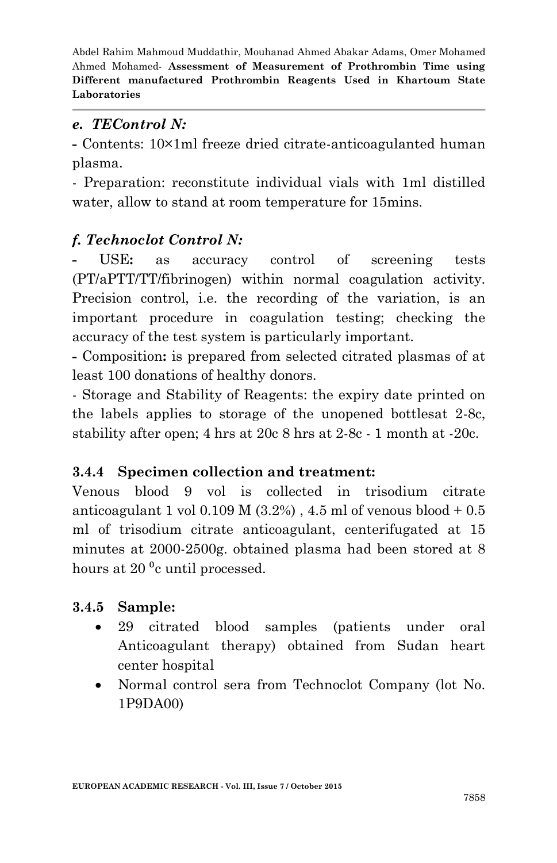#### *e. TEControl N:*

**-** Contents: 10×1ml freeze dried citrate-anticoagulanted human plasma.

- Preparation: reconstitute individual vials with 1ml distilled water, allow to stand at room temperature for 15mins.

## *f. Technoclot Control N:*

USE: as accuracy control of screening tests (PT/aPTT/TT/fibrinogen) within normal coagulation activity. Precision control, i.e. the recording of the variation, is an important procedure in coagulation testing; checking the accuracy of the test system is particularly important.

**-** Composition**:** is prepared from selected citrated plasmas of at least 100 donations of healthy donors.

- Storage and Stability of Reagents: the expiry date printed on the labels applies to storage of the unopened bottlesat 2-8c, stability after open; 4 hrs at 20c 8 hrs at 2-8c - 1 month at -20c.

#### **3.4.4 Specimen collection and treatment:**

Venous blood 9 vol is collected in trisodium citrate anticoagulant 1 vol  $0.109$  M  $(3.2%)$ ,  $4.5$  ml of venous blood  $+0.5$ ml of trisodium citrate anticoagulant, centerifugated at 15 minutes at 2000-2500g. obtained plasma had been stored at 8 hours at  $20^{\circ}$ c until processed.

## **3.4.5 Sample:**

- 29 citrated blood samples (patients under oral Anticoagulant therapy) obtained from Sudan heart center hospital
- Normal control sera from Technoclot Company (lot No. 1P9DA00)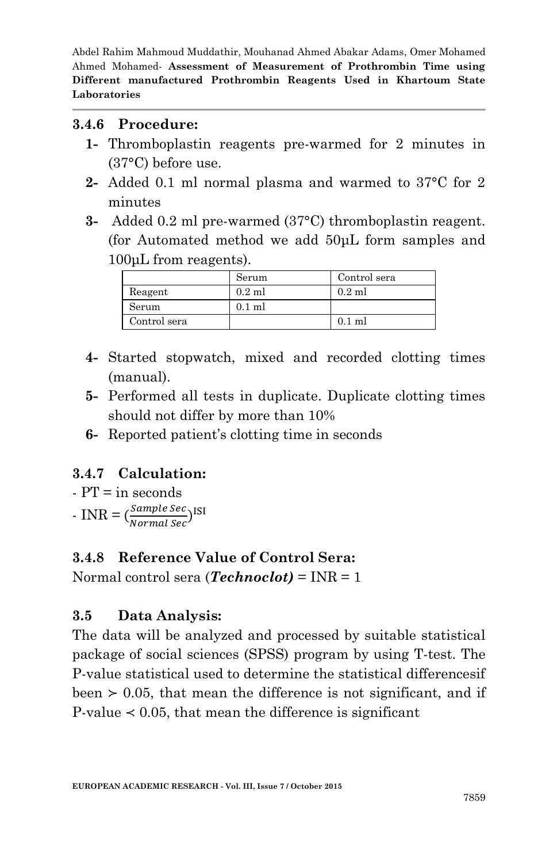#### **3.4.6 Procedure:**

- **1-** Thromboplastin reagents pre-warmed for 2 minutes in (37°C) before use.
- **2-** Added 0.1 ml normal plasma and warmed to 37°C for 2 minutes
- **3-** Added 0.2 ml pre-warmed (37°C) thromboplastin reagent. (for Automated method we add 50μL form samples and 100μL from reagents).

|              | Serum    | Control sera |
|--------------|----------|--------------|
| Reagent      | $0.2$ ml | $0.2$ ml     |
| Serum        | $0.1$ ml |              |
| Control sera |          | $0.1$ ml     |

- **4-** Started stopwatch, mixed and recorded clotting times (manual).
- **5-** Performed all tests in duplicate. Duplicate clotting times should not differ by more than 10%
- **6-** Reported patient's clotting time in seconds

## **3.4.7 Calculation:**

 $- PT = in seconds$ 

 $\text{- INR} = \left(\frac{S}{N}\right)$ Sample Sec )<sup>I</sup><br>Normal Sec <sup>)</sup>

## **3.4.8 Reference Value of Control Sera:**

Normal control sera (*Technoclot)* = INR = 1

## **3.5 Data Analysis:**

The data will be analyzed and processed by suitable statistical package of social sciences (SPSS) program by using T-test. The P-value statistical used to determine the statistical differencesif been  $> 0.05$ , that mean the difference is not significant, and if P-value  $\leq 0.05$ , that mean the difference is significant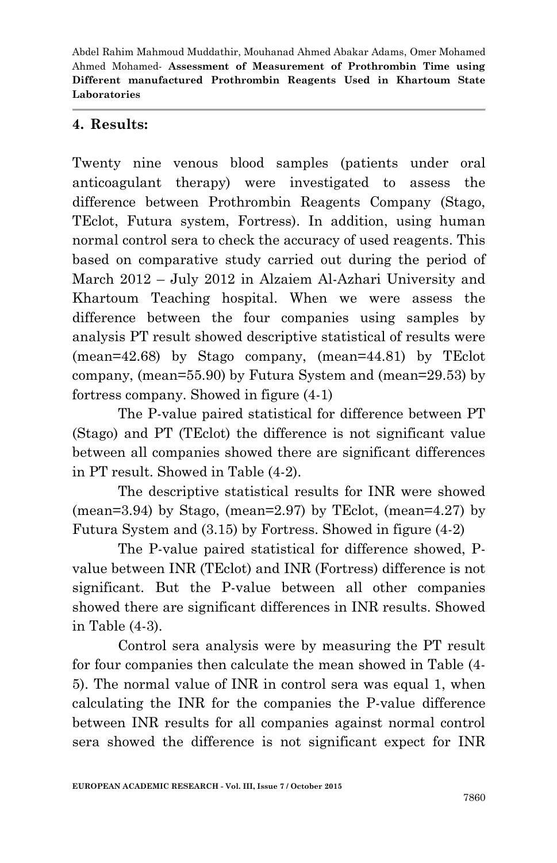#### **4. Results:**

Twenty nine venous blood samples (patients under oral anticoagulant therapy) were investigated to assess the difference between Prothrombin Reagents Company (Stago, TEclot, Futura system, Fortress). In addition, using human normal control sera to check the accuracy of used reagents. This based on comparative study carried out during the period of March 2012 – July 2012 in Alzaiem Al-Azhari University and Khartoum Teaching hospital. When we were assess the difference between the four companies using samples by analysis PT result showed descriptive statistical of results were (mean=42.68) by Stago company, (mean=44.81) by TEclot company, (mean=55.90) by Futura System and (mean=29.53) by fortress company. Showed in figure (4-1)

The P-value paired statistical for difference between PT (Stago) and PT (TEclot) the difference is not significant value between all companies showed there are significant differences in PT result. Showed in Table (4-2).

The descriptive statistical results for INR were showed  $(mean=3.94)$  by Stago,  $(mean=2.97)$  by TEclot,  $(mean=4.27)$  by Futura System and (3.15) by Fortress. Showed in figure (4-2)

The P-value paired statistical for difference showed, Pvalue between INR (TEclot) and INR (Fortress) difference is not significant. But the P-value between all other companies showed there are significant differences in INR results. Showed in Table (4-3).

Control sera analysis were by measuring the PT result for four companies then calculate the mean showed in Table (4- 5). The normal value of INR in control sera was equal 1, when calculating the INR for the companies the P-value difference between INR results for all companies against normal control sera showed the difference is not significant expect for INR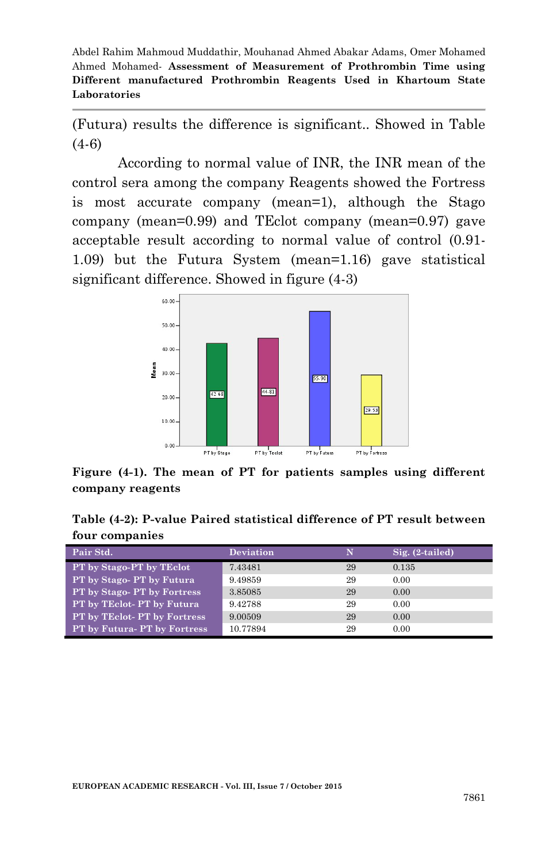(Futura) results the difference is significant.. Showed in Table (4-6)

According to normal value of INR, the INR mean of the control sera among the company Reagents showed the Fortress is most accurate company (mean=1), although the Stago company (mean=0.99) and TEclot company (mean=0.97) gave acceptable result according to normal value of control (0.91- 1.09) but the Futura System (mean=1.16) gave statistical significant difference. Showed in figure (4-3)



**Figure (4-1). The mean of PT for patients samples using different company reagents**

**Table (4-2): P-value Paired statistical difference of PT result between four companies**

| Pair Std.                    | <b>Deviation</b> | N  | $Sig. (2-tailed)$ |
|------------------------------|------------------|----|-------------------|
| PT by Stago-PT by TEclot     | 7.43481          | 29 | 0.135             |
| PT by Stago- PT by Futura    | 9.49859          | 29 | 0.00              |
| PT by Stago-PT by Fortress   | 3.85085          | 29 | 0.00              |
| PT by TEclot-PT by Futura    | 9.42788          | 29 | 0.00              |
| PT by TEclot- PT by Fortress | 9.00509          | 29 | 0.00              |
| PT by Futura-PT by Fortress  | 10.77894         | 29 | 0.00              |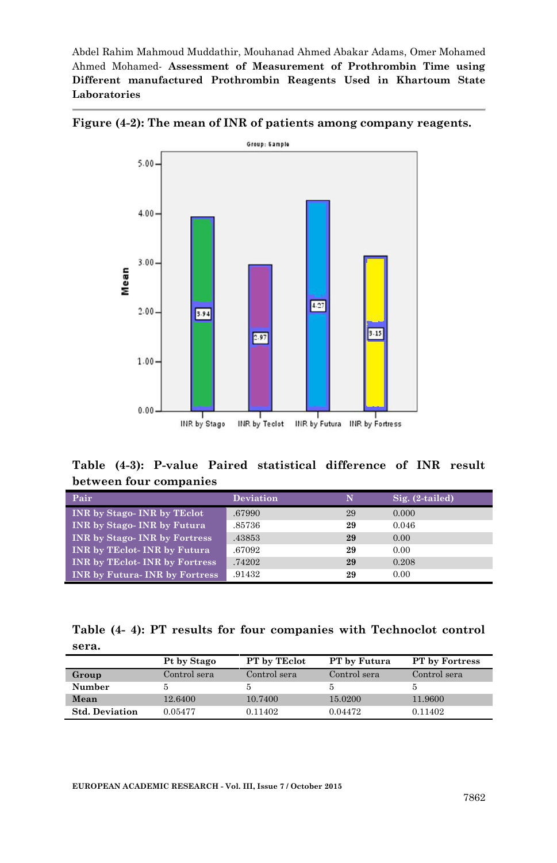

**Figure (4-2): The mean of INR of patients among company reagents.**

**Table (4-3): P-value Paired statistical difference of INR result between four companies**

| Pair                                 | Deviation | N  | $Sig. (2-tailed)$ |
|--------------------------------------|-----------|----|-------------------|
| <b>INR</b> by Stago-INR by TEclot    | .67990    | 29 | 0.000             |
| <b>INR</b> by Stago-INR by Futura    | .85736    | 29 | 0.046             |
| <b>INR</b> by Stago-INR by Fortress  | .43853    | 29 | 0.00              |
| INR by TEclot-INR by Futura          | .67092    | 29 | 0.00              |
| <b>INR by TEclot-INR by Fortress</b> | .74202    | 29 | 0.208             |
| <b>INR by Futura-INR by Fortress</b> | .91432    | 29 | 0.00              |

|       |  |  |  | Table (4-4): PT results for four companies with Technoclot control |  |
|-------|--|--|--|--------------------------------------------------------------------|--|
| sera. |  |  |  |                                                                    |  |

|                       | Pt by Stago  | PT by TEclot | PT by Futura | <b>PT</b> by Fortress |
|-----------------------|--------------|--------------|--------------|-----------------------|
| Group                 | Control sera | Control sera | Control sera | Control sera          |
| Number                |              |              |              |                       |
| Mean                  | 12.6400      | 10.7400      | 15.0200      | 11.9600               |
| <b>Std. Deviation</b> | 0.05477      | 0.11402      | 0.04472      | 0.11402               |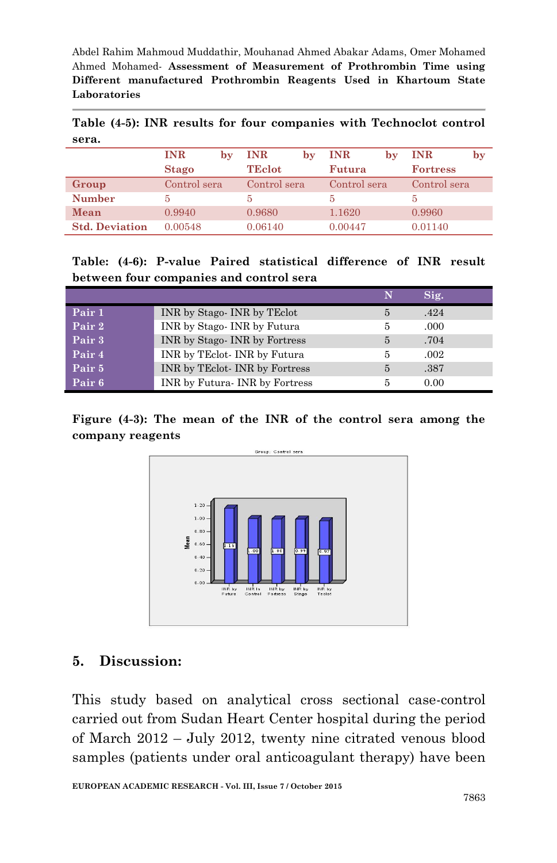**Table (4-5): INR results for four companies with Technoclot control sera.**

|                       | <b>INR</b>   | bv | <b>INR</b>    | bv | <b>INR</b>   | bv | <b>INR</b>      | by |
|-----------------------|--------------|----|---------------|----|--------------|----|-----------------|----|
|                       | <b>Stago</b> |    | <b>TEclot</b> |    | Futura       |    | <b>Fortress</b> |    |
| Group                 | Control sera |    | Control sera  |    | Control sera |    | Control sera    |    |
| <b>Number</b>         | 5            |    | ħ             |    |              |    |                 |    |
| Mean                  | 0.9940       |    | 0.9680        |    | 1.1620       |    | 0.9960          |    |
| <b>Std. Deviation</b> | 0.00548      |    | 0.06140       |    | 0.00447      |    | 0.01140         |    |

**Table: (4-6): P-value Paired statistical difference of INR result between four companies and control sera**

|                   |                                 | N             | Sig. |
|-------------------|---------------------------------|---------------|------|
| Pair 1            | INR by Stago-INR by TEclot      | 5             | .424 |
| Pair 2            | INR by Stago-INR by Futura      | 5             | .000 |
| Pair 3            | INR by Stago-INR by Fortress    | $\frac{5}{2}$ | .704 |
| Pair 4            | INR by TEclot-INR by Futura     | 5             | .002 |
| Pair <sub>5</sub> | INR by TEclot-INR by Fortress   | 5             | .387 |
| Pair <sub>6</sub> | INR by Futura - INR by Fortress | 5             | 0.00 |

**Figure (4-3): The mean of the INR of the control sera among the company reagents**



#### **5. Discussion:**

This study based on analytical cross sectional case-control carried out from Sudan Heart Center hospital during the period of March 2012 – July 2012, twenty nine citrated venous blood samples (patients under oral anticoagulant therapy) have been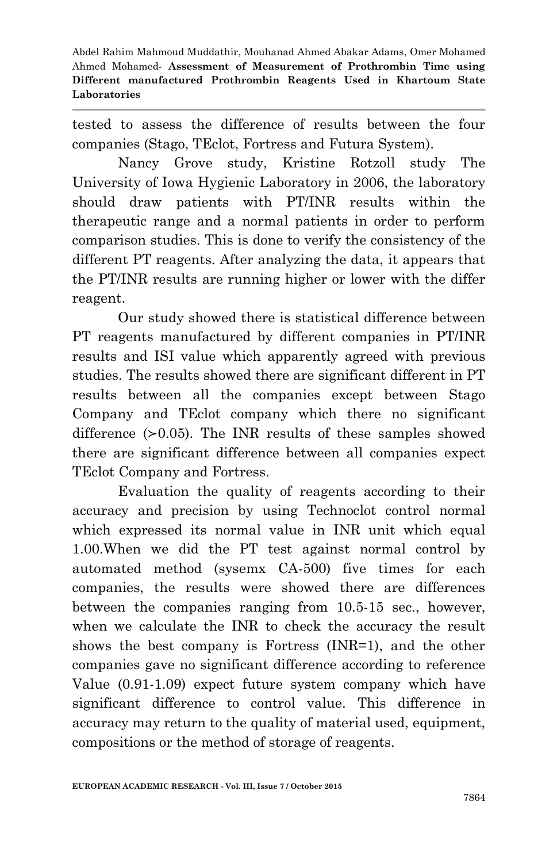tested to assess the difference of results between the four companies (Stago, TEclot, Fortress and Futura System).

Nancy Grove study, Kristine Rotzoll study The University of Iowa Hygienic Laboratory in 2006, the laboratory should draw patients with PT/INR results within the therapeutic range and a normal patients in order to perform comparison studies. This is done to verify the consistency of the different PT reagents. After analyzing the data, it appears that the PT/INR results are running higher or lower with the differ reagent.

Our study showed there is statistical difference between PT reagents manufactured by different companies in PT/INR results and ISI value which apparently agreed with previous studies. The results showed there are significant different in PT results between all the companies except between Stago Company and TEclot company which there no significant difference (≻0.05). The INR results of these samples showed there are significant difference between all companies expect TEclot Company and Fortress.

Evaluation the quality of reagents according to their accuracy and precision by using Technoclot control normal which expressed its normal value in INR unit which equal 1.00.When we did the PT test against normal control by automated method (sysemx CA-500) five times for each companies, the results were showed there are differences between the companies ranging from 10.5-15 sec., however, when we calculate the INR to check the accuracy the result shows the best company is Fortress (INR=1), and the other companies gave no significant difference according to reference Value (0.91-1.09) expect future system company which have significant difference to control value. This difference in accuracy may return to the quality of material used, equipment, compositions or the method of storage of reagents.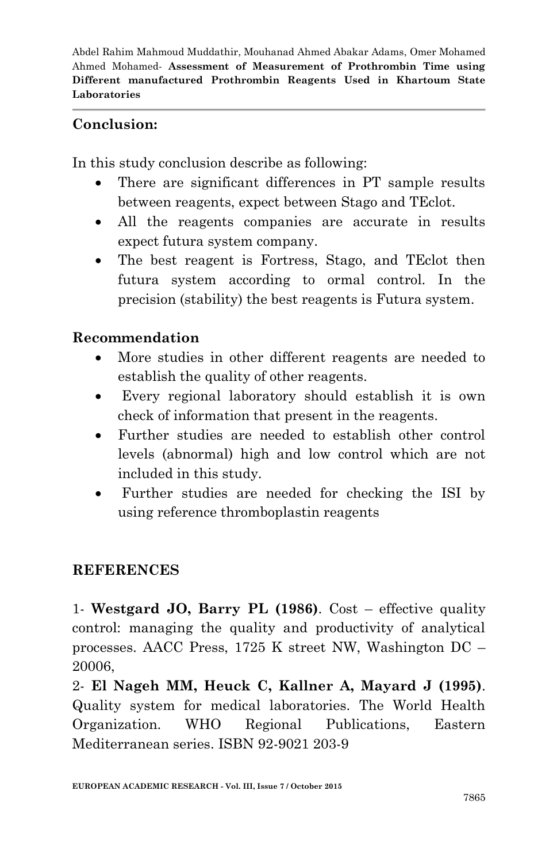#### **Conclusion:**

In this study conclusion describe as following:

- There are significant differences in PT sample results between reagents, expect between Stago and TEclot.
- All the reagents companies are accurate in results expect futura system company.
- The best reagent is Fortress, Stago, and TEclot then futura system according to ormal control. In the precision (stability) the best reagents is Futura system.

#### **Recommendation**

- More studies in other different reagents are needed to establish the quality of other reagents.
- Every regional laboratory should establish it is own check of information that present in the reagents.
- Further studies are needed to establish other control levels (abnormal) high and low control which are not included in this study.
- Further studies are needed for checking the ISI by using reference thromboplastin reagents

## **REFERENCES**

1- **Westgard JO, Barry PL (1986)**. Cost – effective quality control: managing the quality and productivity of analytical processes. AACC Press, 1725 K street NW, Washington DC – 20006,

2- **El Nageh MM, Heuck C, Kallner A, Mayard J (1995)**. Quality system for medical laboratories. The World Health Organization. WHO Regional Publications, Eastern Mediterranean series. ISBN 92-9021 203-9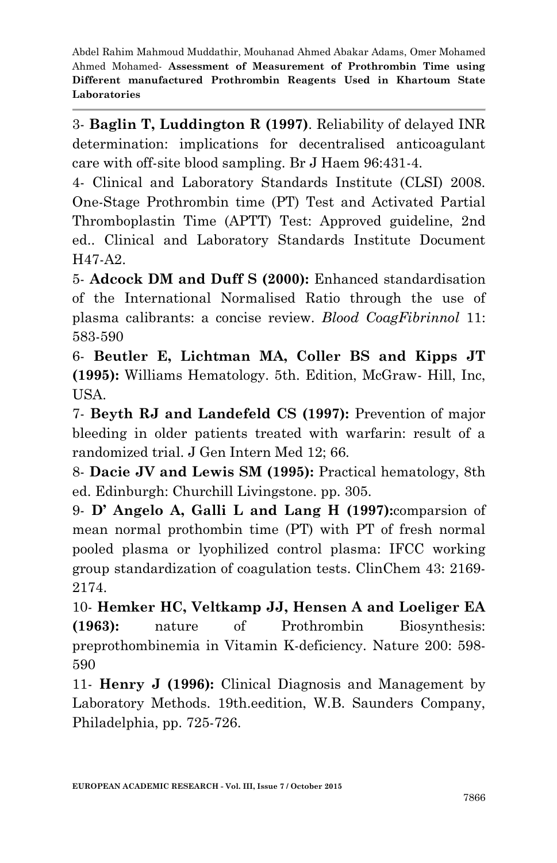3- **Baglin T, Luddington R (1997)**. Reliability of delayed INR determination: implications for decentralised anticoagulant care with off-site blood sampling. Br J Haem 96:431-4.

4- Clinical and Laboratory Standards Institute (CLSI) 2008. One-Stage Prothrombin time (PT) Test and Activated Partial Thromboplastin Time (APTT) Test: Approved guideline, 2nd ed.. Clinical and Laboratory Standards Institute Document H47-A2.

5- **Adcock DM and Duff S (2000):** Enhanced standardisation of the International Normalised Ratio through the use of plasma calibrants: a concise review. *Blood CoagFibrinnol* 11: 583-590

6- **Beutler E, Lichtman MA, Coller BS and Kipps JT (1995):** Williams Hematology. 5th. Edition, McGraw- Hill, Inc, USA.

7- **Beyth RJ and Landefeld CS (1997):** Prevention of major bleeding in older patients treated with warfarin: result of a randomized trial. J Gen Intern Med 12; 66.

8- **Dacie JV and Lewis SM (1995):** Practical hematology, 8th ed. Edinburgh: Churchill Livingstone. pp. 305.

9- **D' Angelo A, Galli L and Lang H (1997):**comparsion of mean normal prothombin time (PT) with PT of fresh normal pooled plasma or lyophilized control plasma: IFCC working group standardization of coagulation tests. ClinChem 43: 2169- 2174.

10- **Hemker HC, Veltkamp JJ, Hensen A and Loeliger EA (1963):** nature of Prothrombin Biosynthesis: preprothombinemia in Vitamin K-deficiency. Nature 200: 598- 590

11- **Henry J (1996):** Clinical Diagnosis and Management by Laboratory Methods. 19th.eedition, W.B. Saunders Company, Philadelphia, pp. 725-726.